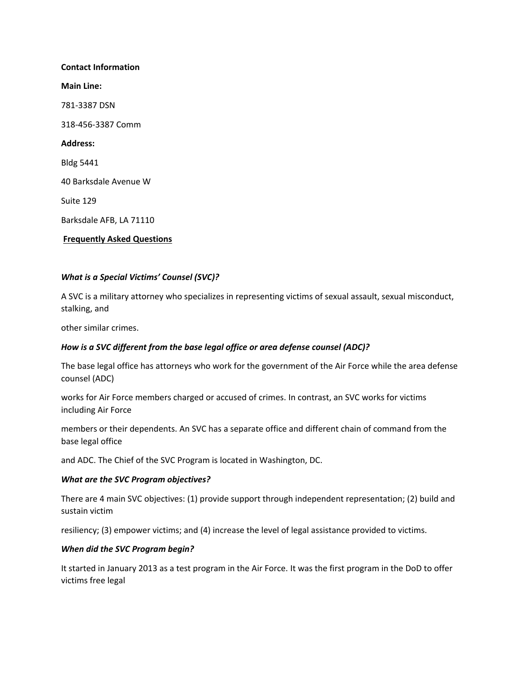# **Contact Information Main Line:** 781-3387 DSN 318-456-3387 Comm **Address:** Bldg 5441 40 Barksdale Avenue W Suite 129 Barksdale AFB, LA 71110 **Frequently Asked Questions**

## *What is a Special Victims' Counsel (SVC)?*

A SVC is a military attorney who specializes in representing victims of sexual assault, sexual misconduct, stalking, and

other similar crimes.

#### *How is a SVC different from the base legal office or area defense counsel (ADC)?*

The base legal office has attorneys who work for the government of the Air Force while the area defense counsel (ADC)

works for Air Force members charged or accused of crimes. In contrast, an SVC works for victims including Air Force

members or their dependents. An SVC has a separate office and different chain of command from the base legal office

and ADC. The Chief of the SVC Program is located in Washington, DC.

#### *What are the SVC Program objectives?*

There are 4 main SVC objectives: (1) provide support through independent representation; (2) build and sustain victim

resiliency; (3) empower victims; and (4) increase the level of legal assistance provided to victims.

#### *When did the SVC Program begin?*

It started in January 2013 as a test program in the Air Force. It was the first program in the DoD to offer victims free legal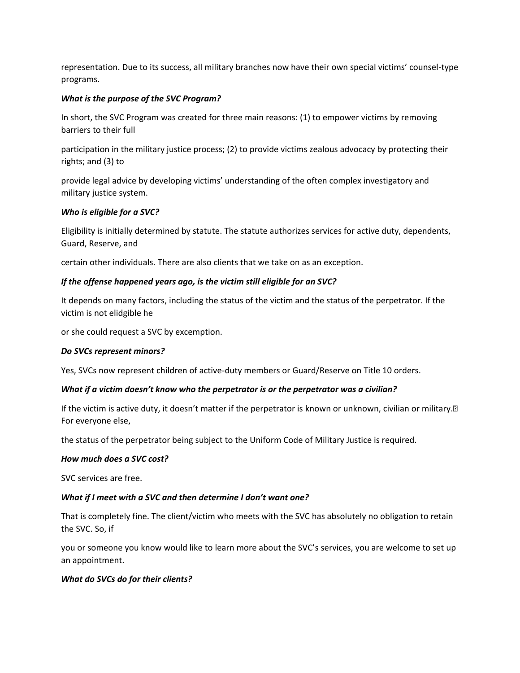representation. Due to its success, all military branches now have their own special victims' counsel-type programs.

## *What is the purpose of the SVC Program?*

In short, the SVC Program was created for three main reasons: (1) to empower victims by removing barriers to their full

participation in the military justice process; (2) to provide victims zealous advocacy by protecting their rights; and (3) to

provide legal advice by developing victims' understanding of the often complex investigatory and military justice system.

## *Who is eligible for a SVC?*

Eligibility is initially determined by statute. The statute authorizes services for active duty, dependents, Guard, Reserve, and

certain other individuals. There are also clients that we take on as an exception.

## *If the offense happened years ago, is the victim still eligible for an SVC?*

It depends on many factors, including the status of the victim and the status of the perpetrator. If the victim is not elidgible he

or she could request a SVC by excemption.

#### *Do SVCs represent minors?*

Yes, SVCs now represent children of active-duty members or Guard/Reserve on Title 10 orders.

#### *What if a victim doesn't know who the perpetrator is or the perpetrator was a civilian?*

If the victim is active duty, it doesn't matter if the perpetrator is known or unknown, civilian or military.<sup>[2]</sup> For everyone else,

the status of the perpetrator being subject to the Uniform Code of Military Justice is required.

#### *How much does a SVC cost?*

SVC services are free.

#### *What if I meet with a SVC and then determine I don't want one?*

That is completely fine. The client/victim who meets with the SVC has absolutely no obligation to retain the SVC. So, if

you or someone you know would like to learn more about the SVC's services, you are welcome to set up an appointment.

#### *What do SVCs do for their clients?*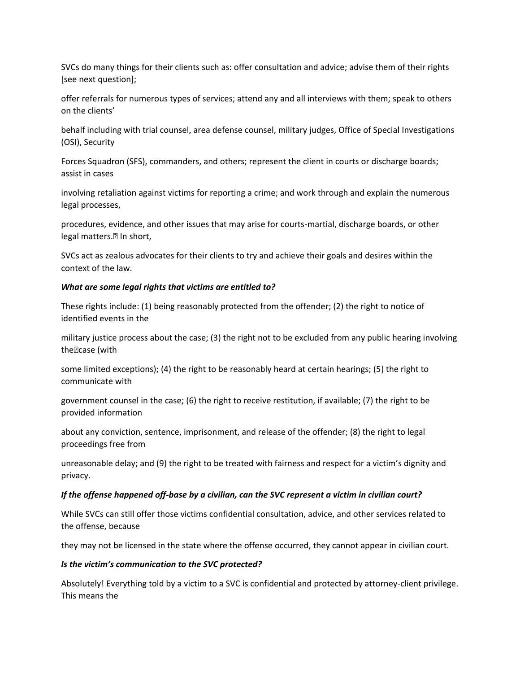SVCs do many things for their clients such as: offer consultation and advice; advise them of their rights [see next question];

offer referrals for numerous types of services; attend any and all interviews with them; speak to others on the clients'

behalf including with trial counsel, area defense counsel, military judges, Office of Special Investigations (OSI), Security

Forces Squadron (SFS), commanders, and others; represent the client in courts or discharge boards; assist in cases

involving retaliation against victims for reporting a crime; and work through and explain the numerous legal processes,

procedures, evidence, and other issues that may arise for courts-martial, discharge boards, or other legal matters.<sup>[2]</sup> In short,

SVCs act as zealous advocates for their clients to try and achieve their goals and desires within the context of the law.

#### *What are some legal rights that victims are entitled to?*

These rights include: (1) being reasonably protected from the offender; (2) the right to notice of identified events in the

military justice process about the case; (3) the right not to be excluded from any public hearing involving the ?case (with

some limited exceptions); (4) the right to be reasonably heard at certain hearings; (5) the right to communicate with

government counsel in the case; (6) the right to receive restitution, if available; (7) the right to be provided information

about any conviction, sentence, imprisonment, and release of the offender; (8) the right to legal proceedings free from

unreasonable delay; and (9) the right to be treated with fairness and respect for a victim's dignity and privacy.

#### *If the offense happened off-base by a civilian, can the SVC represent a victim in civilian court?*

While SVCs can still offer those victims confidential consultation, advice, and other services related to the offense, because

they may not be licensed in the state where the offense occurred, they cannot appear in civilian court.

#### *Is the victim's communication to the SVC protected?*

Absolutely! Everything told by a victim to a SVC is confidential and protected by attorney-client privilege. This means the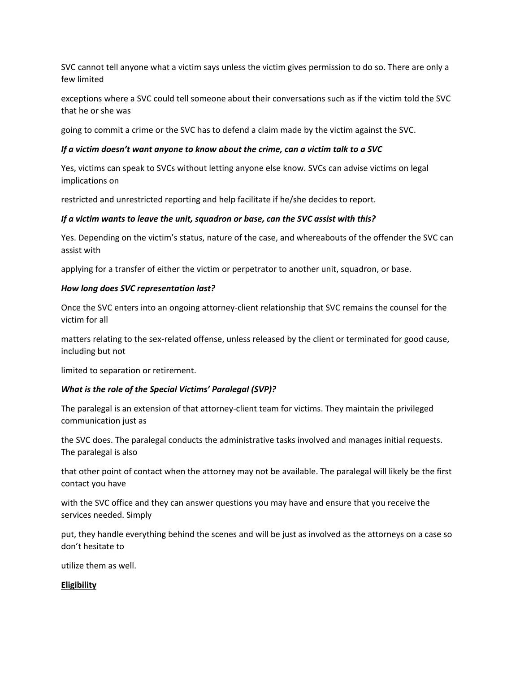SVC cannot tell anyone what a victim says unless the victim gives permission to do so. There are only a few limited

exceptions where a SVC could tell someone about their conversations such as if the victim told the SVC that he or she was

going to commit a crime or the SVC has to defend a claim made by the victim against the SVC.

## *If a victim doesn't want anyone to know about the crime, can a victim talk to a SVC*

Yes, victims can speak to SVCs without letting anyone else know. SVCs can advise victims on legal implications on

restricted and unrestricted reporting and help facilitate if he/she decides to report.

## *If a victim wants to leave the unit, squadron or base, can the SVC assist with this?*

Yes. Depending on the victim's status, nature of the case, and whereabouts of the offender the SVC can assist with

applying for a transfer of either the victim or perpetrator to another unit, squadron, or base.

#### *How long does SVC representation last?*

Once the SVC enters into an ongoing attorney-client relationship that SVC remains the counsel for the victim for all

matters relating to the sex-related offense, unless released by the client or terminated for good cause, including but not

limited to separation or retirement.

#### *What is the role of the Special Victims' Paralegal (SVP)?*

The paralegal is an extension of that attorney-client team for victims. They maintain the privileged communication just as

the SVC does. The paralegal conducts the administrative tasks involved and manages initial requests. The paralegal is also

that other point of contact when the attorney may not be available. The paralegal will likely be the first contact you have

with the SVC office and they can answer questions you may have and ensure that you receive the services needed. Simply

put, they handle everything behind the scenes and will be just as involved as the attorneys on a case so don't hesitate to

utilize them as well.

#### **Eligibility**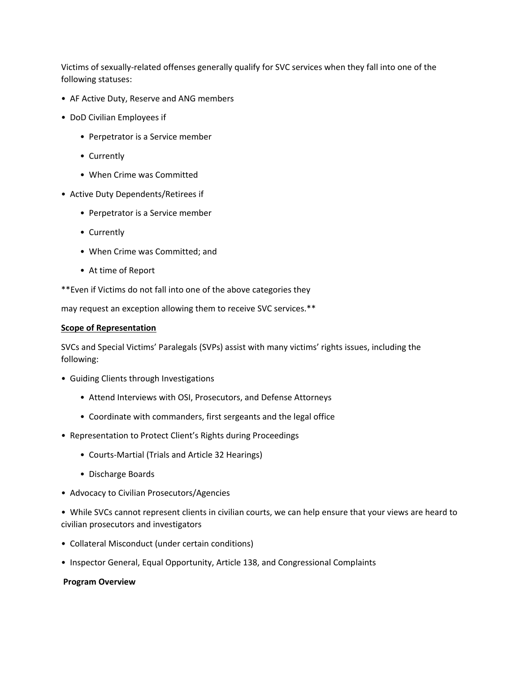Victims of sexually-related offenses generally qualify for SVC services when they fall into one of the following statuses:

- AF Active Duty, Reserve and ANG members
- DoD Civilian Employees if
	- Perpetrator is a Service member
	- Currently
	- When Crime was Committed
- Active Duty Dependents/Retirees if
	- Perpetrator is a Service member
	- Currently
	- When Crime was Committed; and
	- At time of Report
- \*\*Even if Victims do not fall into one of the above categories they

may request an exception allowing them to receive SVC services.\*\*

#### **Scope of Representation**

SVCs and Special Victims' Paralegals (SVPs) assist with many victims' rights issues, including the following:

- Guiding Clients through Investigations
	- Attend Interviews with OSI, Prosecutors, and Defense Attorneys
	- Coordinate with commanders, first sergeants and the legal office
- Representation to Protect Client's Rights during Proceedings
	- Courts-Martial (Trials and Article 32 Hearings)
	- Discharge Boards
- Advocacy to Civilian Prosecutors/Agencies
- While SVCs cannot represent clients in civilian courts, we can help ensure that your views are heard to civilian prosecutors and investigators
- Collateral Misconduct (under certain conditions)
- Inspector General, Equal Opportunity, Article 138, and Congressional Complaints

#### **Program Overview**